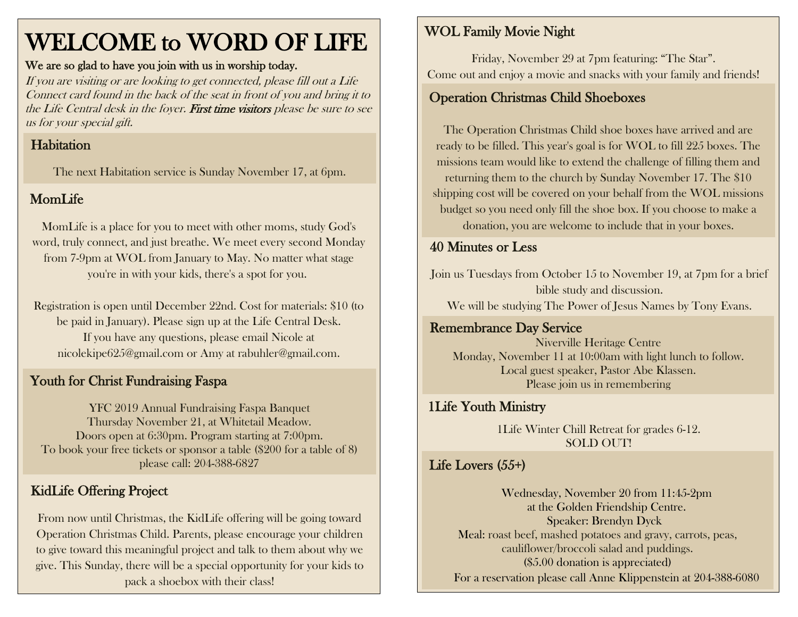# WELCOME to WORD OF LIFE

#### We are so glad to have you join with us in worship today.

If you are visiting or are looking to get connected, please fill out a Life Connect card found in the back of the seat in front of you and bring it to the Life Central desk in the foyer. First time visitors please be sure to see us for your special gift.

# Habitation

The next Habitation service is Sunday November 17, at 6pm.

# MomLife

MomLife is a place for you to meet with other moms, study God's word, truly connect, and just breathe. We meet every second Monday from 7-9pm at WOL from January to May. No matter what stage you're in with your kids, there's a spot for you.

Registration is open until December 22nd. Cost for materials: \$10 (to be paid in January). Please sign up at the Life Central Desk. If you have any questions, please email Nicole at [nicolekipe625@gmail.com](mailto:nicolekipe625@gmail.com) or Amy at [rabuhler@gmail.com.](mailto:rabuhler@gmail.com)

## Youth for Christ Fundraising Faspa

YFC 2019 Annual Fundraising Faspa Banquet Thursday November 21, at Whitetail Meadow. Doors open at 6:30pm. Program starting at 7:00pm. To book your free tickets or sponsor a table (\$200 for a table of 8) please call: 204-388-6827

# KidLife Offering Project

From now until Christmas, the KidLife offering will be going toward Operation Christmas Child. Parents, please encourage your children to give toward this meaningful project and talk to them about why we give. This Sunday, there will be a special opportunity for your kids to pack a shoebox with their class!

### WOL Family Movie Night

 Come out and enjoy a movie and snacks with your family and friends! Friday, November 29 at 7pm featuring: "The Star".

# Operation Christmas Child Shoeboxes

The Operation Christmas Child shoe boxes have arrived and are ready to be filled. This year's goal is for WOL to fill 225 boxes. The missions team would like to extend the challenge of filling them and returning them to the church by Sunday November 17. The \$10 shipping cost will be covered on your behalf from the WOL missions budget so you need only fill the shoe box. If you choose to make a donation, you are welcome to include that in your boxes.

# 40 Minutes or Less

Join us Tuesdays from October 15 to November 19, at 7pm for a brief bible study and discussion. We will be studying The Power of Jesus Names by Tony Evans.

#### Remembrance Day Service

Niverville Heritage Centre Monday, November 11 at 10:00am with light lunch to follow. Local guest speaker, Pastor Abe Klassen. Please join us in remembering

#### 1Life Youth Ministry

1Life Winter Chill Retreat for grades 6-12. SOLD OUT!

### Life Lovers (55+)

Wednesday, November 20 from 11:45-2pm at the Golden Friendship Centre. Speaker: Brendyn Dyck Meal: roast beef, mashed potatoes and gravy, carrots, peas, cauliflower/broccoli salad and puddings. (\$5.00 donation is appreciated) For a reservation please call Anne Klippenstein at 204-388-6080